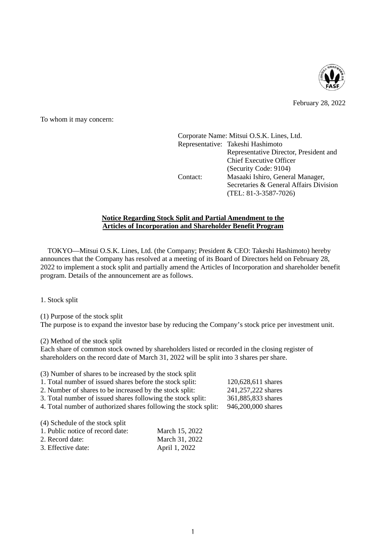

February 28, 2022

To whom it may concern:

Corporate Name: Mitsui O.S.K. Lines, Ltd. Representative: Takeshi Hashimoto Representative Director, President and Chief Executive Officer (Security Code: 9104) Contact: Masaaki Ishiro, General Manager, Secretaries & General Affairs Division (TEL: 81-3-3587-7026)

## **Notice Regarding Stock Split and Partial Amendment to the Articles of Incorporation and Shareholder Benefit Program**

TOKYO—Mitsui O.S.K. Lines, Ltd. (the Company; President & CEO: Takeshi Hashimoto) hereby announces that the Company has resolved at a meeting of its Board of Directors held on February 28, 2022 to implement a stock split and partially amend the Articles of Incorporation and shareholder benefit program. Details of the announcement are as follows.

1. Stock split

(1) Purpose of the stock split The purpose is to expand the investor base by reducing the Company's stock price per investment unit.

(2) Method of the stock split

Each share of common stock owned by shareholders listed or recorded in the closing register of shareholders on the record date of March 31, 2022 will be split into 3 shares per share.

| (3) Number of shares to be increased by the stock split         |                    |
|-----------------------------------------------------------------|--------------------|
| 1. Total number of issued shares before the stock split:        | 120,628,611 shares |
| 2. Number of shares to be increased by the stock split:         | 241,257,222 shares |
| 3. Total number of issued shares following the stock split:     | 361,885,833 shares |
| 4. Total number of authorized shares following the stock split: | 946,200,000 shares |
|                                                                 |                    |

(4) Schedule of the stock split

| 1. Public notice of record date: | March 15, 2022 |
|----------------------------------|----------------|
| 2. Record date:                  | March 31, 2022 |
| 3. Effective date:               | April 1, 2022  |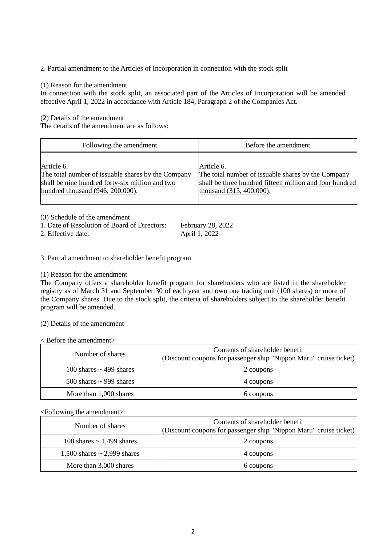2. Partial amendment to the Articles of Incorporation in connection with the stock split

## (1) Reason for the amendment

In connection with the stock split, an associated part of the Articles of Incorporation will be amended effective April 1, 2022 in accordance with Article 184, Paragraph 2 of the Companies Act.

(2) Details of the amendment

The details of the amendment are as follows:

| Following the amendment                            | Before the amendment                                    |
|----------------------------------------------------|---------------------------------------------------------|
| Article 6.                                         | Article 6.                                              |
| The total number of issuable shares by the Company | The total number of issuable shares by the Company      |
| shall be nine hundred forty-six million and two    | shall be three hundred fifteen million and four hundred |
| hundred thousand $(946, 200, 000)$ .               | thousand (315, 400,000).                                |

(3) Schedule of the amendment

| 1. Date of Resolution of Board of Directors: | February 28, 2022 |
|----------------------------------------------|-------------------|
| 2. Effective date:                           | April 1, 2022     |

3. Partial amendment to shareholder benefit program

(1) Reason for the amendment

The Company offers a shareholder benefit program for shareholders who are listed in the shareholder registry as of March 31 and September 30 of each year and own one trading unit (100 shares) or more of the Company shares. Due to the stock split, the criteria of shareholders subject to the shareholder benefit program will be amended.

(2) Details of the amendment

< Before the amendment>

| Number of shares             | Contents of shareholder benefit<br>(Discount coupons for passenger ship "Nippon Maru" cruise ticket) |
|------------------------------|------------------------------------------------------------------------------------------------------|
| 100 shares $\sim$ 499 shares | 2 coupons                                                                                            |
| 500 shares $\sim$ 999 shares | 4 coupons                                                                                            |
| More than 1,000 shares       | 6 coupons                                                                                            |

<Following the amendment>

| Number of shares                 | Contents of shareholder benefit<br>(Discount coupons for passenger ship "Nippon Maru" cruise ticket) |
|----------------------------------|------------------------------------------------------------------------------------------------------|
| 100 shares $\sim$ 1,499 shares   | 2 coupons                                                                                            |
| 1,500 shares $\sim$ 2,999 shares | 4 coupons                                                                                            |
| More than 3,000 shares           | 6 coupons                                                                                            |